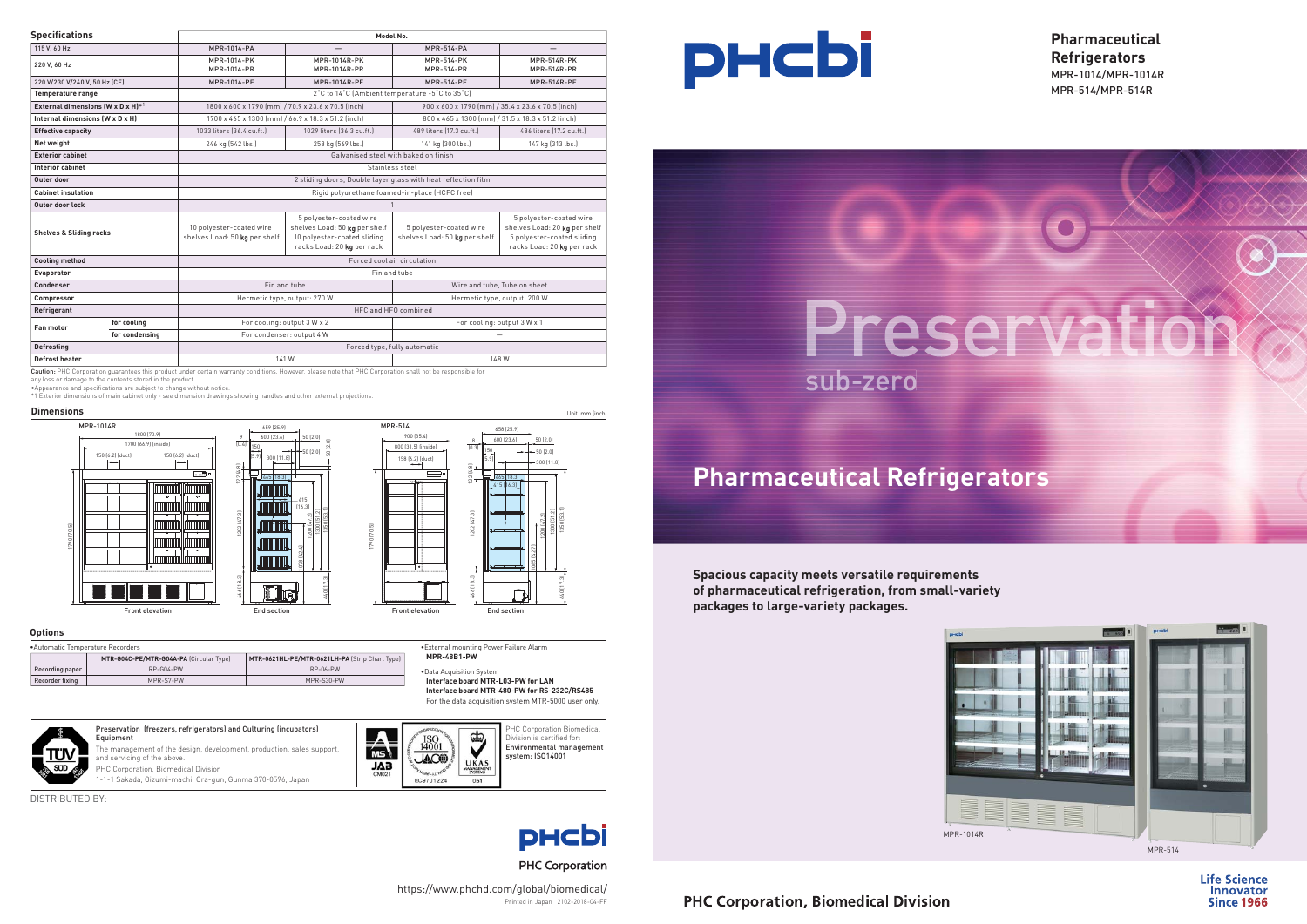# **Pharmaceutical Refrigerators**



### **PHC Corporation, Biomedical Division**

•External mounting Power Failure Alarm **MPR-48B1-PW**

### **Options**

•Data Acquisition System **Interface board MTR-L03-PW for LAN Interface board MTR-480-PW for RS-232C/RS485** For the data acquisition system MTR-5000 user only.

| Automatic Temperature Recorders |                                         |                                                |  |  |  |  |
|---------------------------------|-----------------------------------------|------------------------------------------------|--|--|--|--|
|                                 | MTR-G04C-PE/MTR-G04A-PA (Circular Type) | MTR-0621HL-PE/MTR-0621LH-PA (Strip Chart Type) |  |  |  |  |
| Recording paper                 | $RP-G04-PW$                             | $RP-06-PW$                                     |  |  |  |  |
| Recorder fixing                 | MPR-S7-PW                               | MPR-S30-PW                                     |  |  |  |  |

Caution: PHC Corporation guarantees this product under certain warranty conditions. However, please note that PHC Corporation shall not be responsible for

| <b>Specifications</b>                             |                | Model No.                                                                                               |                                                                                                                       |                                                          |                                                                                                                      |  |
|---------------------------------------------------|----------------|---------------------------------------------------------------------------------------------------------|-----------------------------------------------------------------------------------------------------------------------|----------------------------------------------------------|----------------------------------------------------------------------------------------------------------------------|--|
| 115 V, 60 Hz                                      |                | <b>MPR-1014-PA</b>                                                                                      |                                                                                                                       | <b>MPR-514-PA</b>                                        |                                                                                                                      |  |
| 220 V, 60 Hz                                      |                | MPR-1014-PK<br>MPR-1014-PR                                                                              | $MPR-1014R-PK$<br><b>MPR-1014R-PR</b>                                                                                 | <b>MPR-514-PK</b><br><b>MPR-514-PR</b>                   | <b>MPR-514R-PK</b><br><b>MPR-514R-PR</b>                                                                             |  |
| 220 V/230 V/240 V, 50 Hz (CE)                     |                | MPR-1014-PE                                                                                             | MPR-1014R-PE                                                                                                          | <b>MPR-514-PE</b>                                        | <b>MPR-514R-PE</b>                                                                                                   |  |
| <b>Temperature range</b>                          |                | 2°C to 14°C (Ambient temperature -5°C to 35°C)                                                          |                                                                                                                       |                                                          |                                                                                                                      |  |
| External dimensions (W x D x H)*1                 |                | 1800 x 600 x 1790 [mm] / 70.9 x 23.6 x 70.5 [inch]<br>900 x 600 x 1790 [mm] / 35.4 x 23.6 x 70.5 [inch] |                                                                                                                       |                                                          |                                                                                                                      |  |
| Internal dimensions (W x D x H)                   |                | 1700 x 465 x 1300 [mm] / 66.9 x 18.3 x 51.2 [inch]                                                      |                                                                                                                       | 800 x 465 x 1300 [mm] / 31.5 x 18.3 x 51.2 [inch]        |                                                                                                                      |  |
| <b>Effective capacity</b>                         |                | 1033 liters (36.4 cu.ft.)                                                                               | 1029 liters (36.3 cu.ft.)                                                                                             | 489 liters (17.3 cu.ft.)                                 | 486 liters (17.2 cu.ft.)                                                                                             |  |
| Net weight                                        |                | 246 kg (542 lbs.)                                                                                       | 258 kg (569 lbs.)                                                                                                     | 141 kg (300 lbs.)                                        | 147 kg (313 lbs.)                                                                                                    |  |
| <b>Exterior cabinet</b>                           |                |                                                                                                         | Galvanised steel with baked on finish                                                                                 |                                                          |                                                                                                                      |  |
| <b>Interior cabinet</b>                           |                | Stainless steel                                                                                         |                                                                                                                       |                                                          |                                                                                                                      |  |
| Outer door                                        |                | 2 sliding doors, Double layer glass with heat reflection film                                           |                                                                                                                       |                                                          |                                                                                                                      |  |
| <b>Cabinet insulation</b>                         |                | Rigid polyurethane foamed-in-place (HCFC free)                                                          |                                                                                                                       |                                                          |                                                                                                                      |  |
| Outer door lock                                   |                |                                                                                                         |                                                                                                                       |                                                          |                                                                                                                      |  |
| <b>Shelves &amp; Sliding racks</b>                |                | 10 polyester-coated wire<br>shelves Load: 50 kg per shelf                                               | 5 polyester-coated wire<br>shelves Load: 50 kg per shelf<br>10 polyester-coated sliding<br>racks Load: 20 kg per rack | 5 polyester-coated wire<br>shelves Load: 50 kg per shelf | 5 polyester-coated wire<br>shelves Load: 20 kg per shelf<br>5 polyester-coated sliding<br>racks Load: 20 kg per rack |  |
| <b>Cooling method</b>                             |                | Forced cool air circulation                                                                             |                                                                                                                       |                                                          |                                                                                                                      |  |
| Evaporator                                        |                | Fin and tube                                                                                            |                                                                                                                       |                                                          |                                                                                                                      |  |
| Condenser                                         |                | Fin and tube                                                                                            |                                                                                                                       | Wire and tube, Tube on sheet                             |                                                                                                                      |  |
| Compressor                                        |                | Hermetic type, output: 270 W                                                                            |                                                                                                                       | Hermetic type, output: 200 W                             |                                                                                                                      |  |
| Refrigerant                                       |                | HFC and HFO combined                                                                                    |                                                                                                                       |                                                          |                                                                                                                      |  |
| <b>Fan motor</b>                                  | for cooling    | For cooling: output 3 W x 2                                                                             |                                                                                                                       | For cooling: output 3 W x 1                              |                                                                                                                      |  |
|                                                   | for condensing | For condenser: output 4 W                                                                               |                                                                                                                       | -                                                        |                                                                                                                      |  |
| Forced type, fully automatic<br><b>Defrosting</b> |                |                                                                                                         |                                                                                                                       |                                                          |                                                                                                                      |  |
| <b>Defrost heater</b>                             |                | 141 W                                                                                                   |                                                                                                                       | 148 W                                                    |                                                                                                                      |  |

any loss or damage to the contents stored in the product. •Appearance and specifications are subject to change without notice.

\*1 Exterior dimensions of main cabinet only - see dimension drawings showing handles and other external projections.



**Pharmaceutical Refrigerators** MPR-1014/MPR-1014R MPR-514/MPR-514R



**Life Science Innovator Since 1966** 





Printed in Japan 2102-2018-04-FF

**PHC Corporation** 



**PHCbi** 

# sub-zero

https://www.phchd.com/global/biomedical/



DISTRIBUTED BY:

### Preservation (freezers, refrigerators) and Culturing (incubators) Equipment The management of the design, development, production, sales support, and servicing of the above. PHC Corporation, Biomedical Division 1-1-1 Sakada, Oizumi-machi, Ora-gun, Gunma 370-0596, Japan

PHC Corporation Biomedical Division is certified for: Environmental management system: ISO14001



**Spacious capacity meets versatile requirements of pharmaceutical refrigeration, from small-variety packages to large-variety packages.**